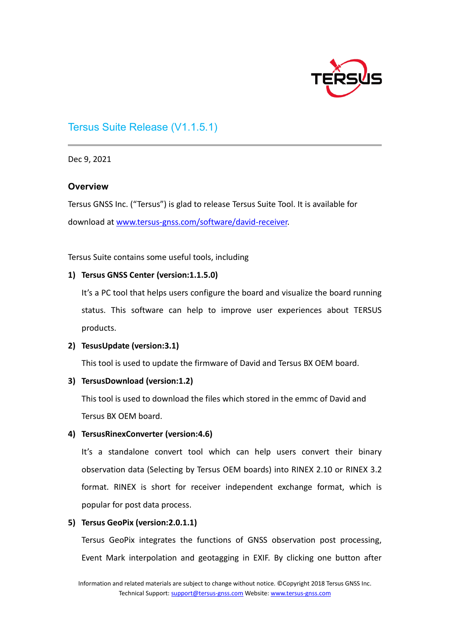

# Tersus Suite Release (V1.1.5.1)

Dec 9, 2021

#### **Overview**

Tersus GNSS Inc. ("Tersus") is glad to release Tersus Suite Tool. It is available for download at www.tersus-[gnss.com/software/david](http://www.tersus-gnss.com/software/david-receiver)-receiver.

Tersus Suite contains some useful tools, including

#### **1) Tersus GNSS Center (version:1.1.5.0)**

It's a PC tool that helps users configure the board and visualize the board running status. This software can help to improve user experiences about TERSUS products.

#### **2) TesusUpdate (version:3.1)**

This tool is used to update the firmware of David and Tersus BX OEM board.

#### **3) TersusDownload (version:1.2)**

This tool is used to download the files which stored in the emmc of David and Tersus BX OEM board.

## **4) TersusRinexConverter (version:4.6)**

It's a standalone convert tool which can help users convert their binary observation data (Selecting by Tersus OEM boards) into RINEX 2.10 or RINEX 3.2 format. RINEX is short for receiver independent exchange format, which is popular for post data process.

## **5) Tersus GeoPix (version:2.0.1.1)**

Tersus GeoPix integrates the functions of GNSS observation post processing, Event Mark interpolation and geotagging in EXIF. By clicking one button after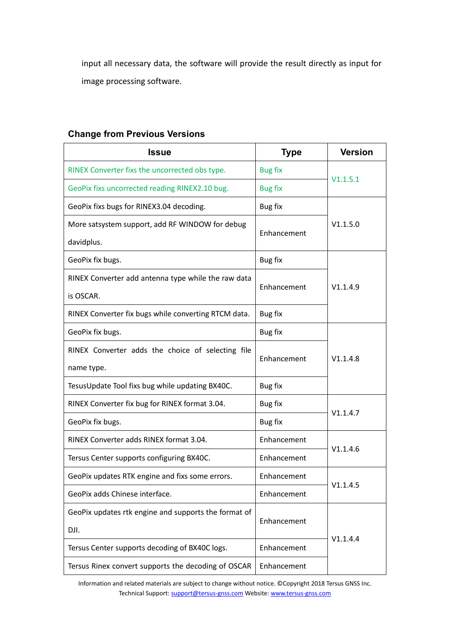input all necessary data, the software will provide the result directly as input for image processing software.

| <b>Issue</b>                                         | <b>Type</b>    | <b>Version</b> |
|------------------------------------------------------|----------------|----------------|
| RINEX Converter fixs the uncorrected obs type.       | <b>Bug fix</b> |                |
| GeoPix fixs uncorrected reading RINEX2.10 bug.       | <b>Bug fix</b> | V1.1.5.1       |
| GeoPix fixs bugs for RINEX3.04 decoding.             | <b>Bug fix</b> |                |
| More satsystem support, add RF WINDOW for debug      | Enhancement    | V1.1.5.0       |
| davidplus.                                           |                |                |
| GeoPix fix bugs.                                     | Bug fix        |                |
| RINEX Converter add antenna type while the raw data  |                |                |
| is OSCAR.                                            | Enhancement    | V1.1.4.9       |
| RINEX Converter fix bugs while converting RTCM data. | Bug fix        |                |
| GeoPix fix bugs.                                     | Bug fix        |                |
| RINEX Converter adds the choice of selecting file    | Enhancement    | V1.1.4.8       |
| name type.                                           |                |                |
| TesusUpdate Tool fixs bug while updating BX40C.      | Bug fix        |                |
| RINEX Converter fix bug for RINEX format 3.04.       | Bug fix        |                |
| GeoPix fix bugs.                                     | Bug fix        | V1.1.4.7       |
| RINEX Converter adds RINEX format 3.04.              | Enhancement    |                |
| Tersus Center supports configuring BX40C.            | Enhancement    | V1.1.4.6       |
| GeoPix updates RTK engine and fixs some errors.      | Enhancement    |                |
| GeoPix adds Chinese interface.                       | Enhancement    | V1.1.4.5       |
| GeoPix updates rtk engine and supports the format of | Enhancement    |                |
| DJI.                                                 |                |                |
| Tersus Center supports decoding of BX40C logs.       | Enhancement    | V1.1.4.4       |
| Tersus Rinex convert supports the decoding of OSCAR  | Enhancement    |                |

## **Change from Previous Versions**

Information and related materials are subject to change without notice. ©Copyright 2018 Tersus GNSS Inc. Technical Support[: support@tersus](mailto:support@tersus-gnss.com)-gnss.com Website[: www.tersus](http://www.tersus-gnss.com/)-gnss.com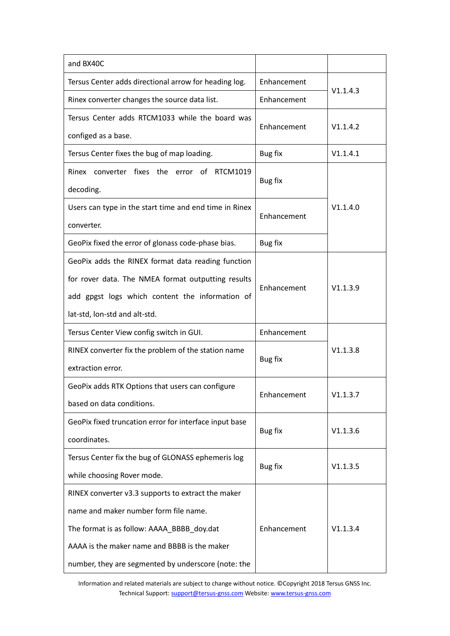| and BX40C                                              |                            |          |
|--------------------------------------------------------|----------------------------|----------|
| Tersus Center adds directional arrow for heading log.  | Enhancement<br>Enhancement |          |
| Rinex converter changes the source data list.          |                            | V1.1.4.3 |
| Tersus Center adds RTCM1033 while the board was        | Enhancement                | V1.1.4.2 |
| configed as a base.                                    |                            |          |
| Tersus Center fixes the bug of map loading.            | Bug fix                    | V1.1.4.1 |
| Rinex converter fixes the error of RTCM1019            |                            |          |
| decoding.                                              | Bug fix                    | V1.1.4.0 |
| Users can type in the start time and end time in Rinex |                            |          |
| converter.                                             | Enhancement                |          |
| GeoPix fixed the error of glonass code-phase bias.     | Bug fix                    |          |
| GeoPix adds the RINEX format data reading function     |                            |          |
| for rover data. The NMEA format outputting results     |                            |          |
| add gpgst logs which content the information of        | Enhancement                | V1.1.3.9 |
| lat-std, lon-std and alt-std.                          |                            |          |
| Tersus Center View config switch in GUI.               | Enhancement                |          |
| RINEX converter fix the problem of the station name    |                            | V1.1.3.8 |
| extraction error.                                      | Bug fix                    |          |
| GeoPix adds RTK Options that users can configure       |                            | V1.1.3.7 |
| based on data conditions.                              | Enhancement                |          |
| GeoPix fixed truncation error for interface input base |                            | V1.1.3.6 |
| coordinates.                                           | Bug fix                    |          |
| Tersus Center fix the bug of GLONASS ephemeris log     | Bug fix                    | V1.1.3.5 |
| while choosing Rover mode.                             |                            |          |
| RINEX converter v3.3 supports to extract the maker     |                            |          |
| name and maker number form file name.                  |                            |          |
| The format is as follow: AAAA_BBBB_doy.dat             | Enhancement                | V1.1.3.4 |
| AAAA is the maker name and BBBB is the maker           |                            |          |
| number, they are segmented by underscore (note: the    |                            |          |

Information and related materials are subject to change without notice. ©Copyright 2018 Tersus GNSS Inc. Technical Support[: support@tersus](mailto:support@tersus-gnss.com)-gnss.com Website[: www.tersus](http://www.tersus-gnss.com/)-gnss.com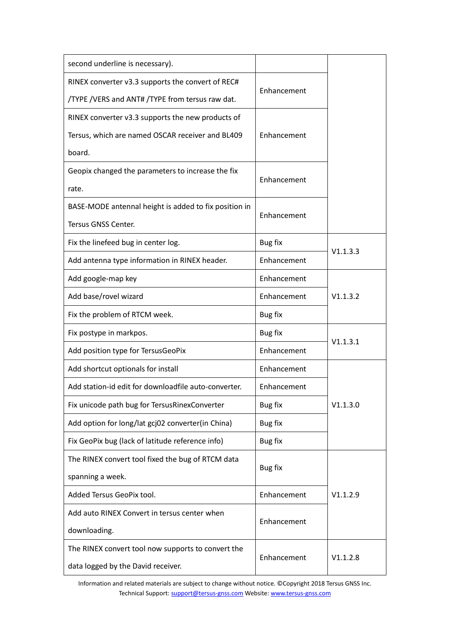| second underline is necessary).                       |                |          |
|-------------------------------------------------------|----------------|----------|
| RINEX converter v3.3 supports the convert of REC#     | Enhancement    |          |
| /TYPE / VERS and ANT# / TYPE from tersus raw dat.     |                |          |
| RINEX converter v3.3 supports the new products of     |                |          |
| Tersus, which are named OSCAR receiver and BL409      | Enhancement    |          |
| board.                                                |                |          |
| Geopix changed the parameters to increase the fix     | Enhancement    |          |
| rate.                                                 |                |          |
| BASE-MODE antennal height is added to fix position in | Enhancement    |          |
| Tersus GNSS Center.                                   |                |          |
| Fix the linefeed bug in center log.                   | <b>Bug fix</b> |          |
| Add antenna type information in RINEX header.         | Enhancement    | V1.1.3.3 |
| Add google-map key                                    | Enhancement    |          |
| Add base/rovel wizard                                 | Enhancement    | V1.1.3.2 |
| Fix the problem of RTCM week.                         | <b>Bug fix</b> |          |
| Fix postype in markpos.                               | <b>Bug fix</b> |          |
| Add position type for TersusGeoPix                    | Enhancement    | V1.1.3.1 |
| Add shortcut optionals for install                    | Enhancement    |          |
| Add station-id edit for downloadfile auto-converter.  | Enhancement    |          |
| Fix unicode path bug for TersusRinexConverter         | <b>Bug fix</b> | V1.1.3.0 |
| Add option for long/lat gcj02 converter(in China)     | <b>Bug fix</b> |          |
| Fix GeoPix bug (lack of latitude reference info)      | <b>Bug fix</b> |          |
| The RINEX convert tool fixed the bug of RTCM data     |                |          |
| spanning a week.                                      | <b>Bug fix</b> |          |
| Added Tersus GeoPix tool.                             | Enhancement    | V1.1.2.9 |
| Add auto RINEX Convert in tersus center when          |                |          |
| downloading.                                          | Enhancement    |          |
| The RINEX convert tool now supports to convert the    | Enhancement    | V1.1.2.8 |
| data logged by the David receiver.                    |                |          |

Information and related materials are subject to change without notice. ©Copyright 2018 Tersus GNSS Inc. Technical Support[: support@tersus](mailto:support@tersus-gnss.com)-gnss.com Website[: www.tersus](http://www.tersus-gnss.com/)-gnss.com